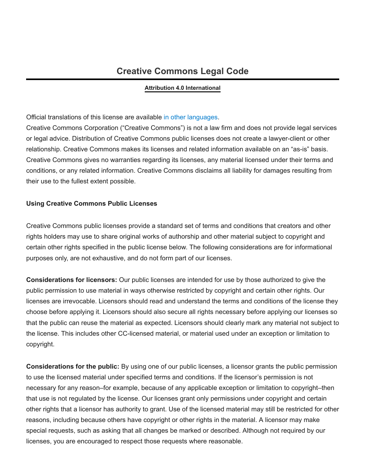# **Creative Commons Legal Code**

#### **Attribution 4.0 International**

#### Official translations of this license are available in other [languages](#page-6-0).

Creative Commons Corporation ("Creative Commons") is not a law firm and does not provide legal services or legal advice. Distribution of Creative Commons public licenses does not create a lawyer-client or other relationship. Creative Commons makes its licenses and related information available on an "as-is" basis. Creative Commons gives no warranties regarding its licenses, any material licensed under their terms and conditions, or any related information. Creative Commons disclaims all liability for damages resulting from their use to the fullest extent possible.

#### **Using Creative Commons Public Licenses**

Creative Commons public licenses provide a standard set of terms and conditions that creators and other rights holders may use to share original works of authorship and other material subject to copyright and certain other rights specified in the public license below. The following considerations are for informational purposes only, are not exhaustive, and do not form part of our licenses.

**Considerations for licensors:** Our public licenses are intended for use by those authorized to give the public permission to use material in ways otherwise restricted by copyright and certain other rights. Our licenses are irrevocable. Licensors should read and understand the terms and conditions of the license they choose before applying it. Licensors should also secure all rights necessary before applying our licenses so that the public can reuse the material as expected. Licensors should clearly mark any material not subject to the license. This includes other CC-licensed material, or material used under an exception or limitation to copyright.

**Considerations for the public:** By using one of our public licenses, a licensor grants the public permission to use the licensed material under specified terms and conditions. If the licensor's permission is not necessary for any reason–for example, because of any applicable exception or limitation to copyright–then that use is not regulated by the license. Our licenses grant only permissions under copyright and certain other rights that a licensor has authority to grant. Use of the licensed material may still be restricted for other reasons, including because others have copyright or other rights in the material. A licensor may make special requests, such as asking that all changes be marked or described. Although not required by our licenses, you are encouraged to respect those requests where reasonable.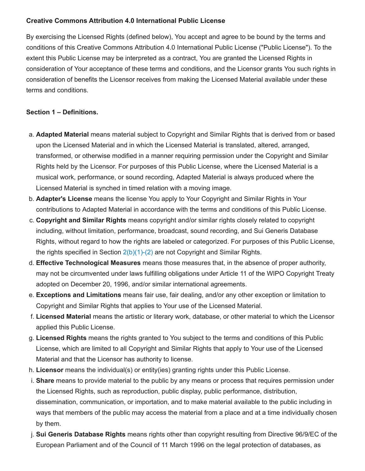### **Creative Commons Attribution 4.0 International Public License**

By exercising the Licensed Rights (defined below), You accept and agree to be bound by the terms and conditions of this Creative Commons Attribution 4.0 International Public License ("Public License"). To the extent this Public License may be interpreted as a contract, You are granted the Licensed Rights in consideration of Your acceptance of these terms and conditions, and the Licensor grants You such rights in consideration of benefits the Licensor receives from making the Licensed Material available under these terms and conditions.

#### <span id="page-1-0"></span>**Section 1 – Definitions.**

- a. **Adapted Material** means material subject to Copyright and Similar Rights that is derived from or based upon the Licensed Material and in which the Licensed Material is translated, altered, arranged, transformed, or otherwise modified in a manner requiring permission under the Copyright and Similar Rights held by the Licensor. For purposes of this Public License, where the Licensed Material is a musical work, performance, or sound recording, Adapted Material is always produced where the Licensed Material is synched in timed relation with a moving image.
- b. **Adapter's License** means the license You apply to Your Copyright and Similar Rights in Your contributions to Adapted Material in accordance with the terms and conditions of this Public License.
- c. **Copyright and Similar Rights** means copyright and/or similar rights closely related to copyright including, without limitation, performance, broadcast, sound recording, and Sui Generis Database Rights, without regard to how the rights are labeled or categorized. For purposes of this Public License, the rights specified in Section  $2(b)(1)-(2)$  are not Copyright and Similar Rights.
- d. **Effective Technological Measures** means those measures that, in the absence of proper authority, may not be circumvented under laws fulfilling obligations under Article 11 of the WIPO Copyright Treaty adopted on December 20, 1996, and/or similar international agreements.
- e. **Exceptions and Limitations** means fair use, fair dealing, and/or any other exception or limitation to Copyright and Similar Rights that applies to Your use of the Licensed Material.
- f. **Licensed Material** means the artistic or literary work, database, or other material to which the Licensor applied this Public License.
- g. **Licensed Rights** means the rights granted to You subject to the terms and conditions of this Public License, which are limited to all Copyright and Similar Rights that apply to Your use of the Licensed Material and that the Licensor has authority to license.
- h. **Licensor** means the individual(s) or entity(ies) granting rights under this Public License.
- i. **Share** means to provide material to the public by any means or process that requires permission under the Licensed Rights, such as reproduction, public display, public performance, distribution, dissemination, communication, or importation, and to make material available to the public including in ways that members of the public may access the material from a place and at a time individually chosen by them.
- j. **Sui Generis Database Rights** means rights other than copyright resulting from Directive 96/9/EC of the European Parliament and of the Council of 11 March 1996 on the legal protection of databases, as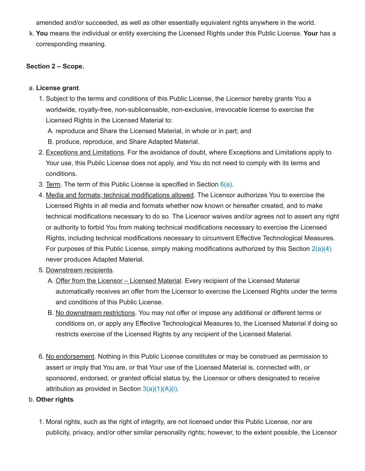amended and/or succeeded, as well as other essentially equivalent rights anywhere in the world.

k. **You** means the individual or entity exercising the Licensed Rights under this Public License. **Your** has a corresponding meaning.

#### **Section 2 – Scope.**

#### a. **License grant**.

- <span id="page-2-2"></span>1. Subject to the terms and conditions of this Public License, the Licensor hereby grants You a worldwide, royalty-free, non-sublicensable, non-exclusive, irrevocable license to exercise the Licensed Rights in the Licensed Material to:
	- A. reproduce and Share the Licensed Material, in whole or in part; and
	- B. produce, reproduce, and Share Adapted Material.
- 2. Exceptions and Limitations. For the avoidance of doubt, where Exceptions and Limitations apply to Your use, this Public License does not apply, and You do not need to comply with its terms and conditions.
- 3. Term. The term of this Public License is specified in Section  $6(a)$ .
- <span id="page-2-1"></span>4. Media and formats; technical modifications allowed. The Licensor authorizes You to exercise the Licensed Rights in all media and formats whether now known or hereafter created, and to make technical modifications necessary to do so. The Licensor waives and/or agrees not to assert any right or authority to forbid You from making technical modifications necessary to exercise the Licensed Rights, including technical modifications necessary to circumvent Effective Technological Measures. For purposes of this Public License, simply making modifications authorized by this Section  $2(a)(4)$ never produces Adapted Material.
- 5. Downstream recipients.
	- A. Offer from the Licensor Licensed Material. Every recipient of the Licensed Material automatically receives an offer from the Licensor to exercise the Licensed Rights under the terms and conditions of this Public License.
	- B. No downstream restrictions. You may not offer or impose any additional or different terms or conditions on, or apply any Effective Technological Measures to, the Licensed Material if doing so restricts exercise of the Licensed Rights by any recipient of the Licensed Material.
- 6. No endorsement. Nothing in this Public License constitutes or may be construed as permission to assert or imply that You are, or that Your use of the Licensed Material is, connected with, or sponsored, endorsed, or granted official status by, the Licensor or others designated to receive attribution as provided in Section  $3(a)(1)(A)(i)$ .

### <span id="page-2-0"></span>b. **Other rights**.

1. Moral rights, such as the right of integrity, are not licensed under this Public License, nor are publicity, privacy, and/or other similar personality rights; however, to the extent possible, the Licensor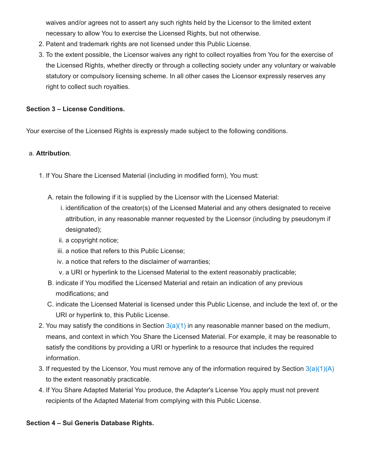waives and/or agrees not to assert any such rights held by the Licensor to the limited extent necessary to allow You to exercise the Licensed Rights, but not otherwise.

- 2. Patent and trademark rights are not licensed under this Public License.
- 3. To the extent possible, the Licensor waives any right to collect royalties from You for the exercise of the Licensed Rights, whether directly or through a collecting society under any voluntary or waivable statutory or compulsory licensing scheme. In all other cases the Licensor expressly reserves any right to collect such royalties.

## **Section 3 – License Conditions.**

Your exercise of the Licensed Rights is expressly made subject to the following conditions.

### <span id="page-3-3"></span>a. **Attribution**.

- <span id="page-3-2"></span><span id="page-3-1"></span><span id="page-3-0"></span>1. If You Share the Licensed Material (including in modified form), You must:
	- A. retain the following if it is supplied by the Licensor with the Licensed Material:
		- i. identification of the creator(s) of the Licensed Material and any others designated to receive attribution, in any reasonable manner requested by the Licensor (including by pseudonym if designated);
		- ii. a copyright notice;
		- iii. a notice that refers to this Public License;
		- iv. a notice that refers to the disclaimer of warranties;
		- v. a URI or hyperlink to the Licensed Material to the extent reasonably practicable;
	- B. indicate if You modified the Licensed Material and retain an indication of any previous modifications; and
	- C. indicate the Licensed Material is licensed under this Public License, and include the text of, or the URI or hyperlink to, this Public License.
- 2. You may satisfy the conditions in Section  $3(a)(1)$  in any reasonable manner based on the medium, means, and context in which You Share the Licensed Material. For example, it may be reasonable to satisfy the conditions by providing a URI or hyperlink to a resource that includes the required information.
- 3. If requested by the Licensor, You must remove any of the information required by Section  $3(a)(1)(A)$ to the extent reasonably practicable.
- 4. If You Share Adapted Material You produce, the Adapter's License You apply must not prevent recipients of the Adapted Material from complying with this Public License.

### <span id="page-3-4"></span>**Section 4 – Sui Generis Database Rights.**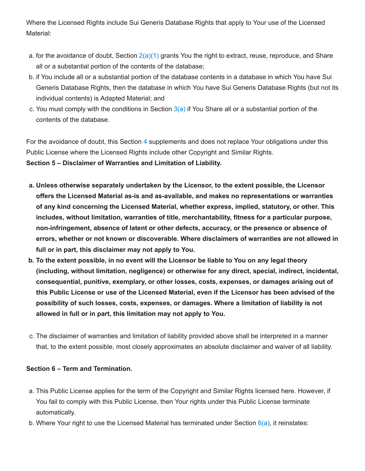Where the Licensed Rights include Sui Generis Database Rights that apply to Your use of the Licensed Material:

- a. for the avoidance of doubt, Section  $2(a)(1)$  grants You the right to extract, reuse, reproduce, and Share all or a substantial portion of the contents of the database;
- b. if You include all or a substantial portion of the database contents in a database in which You have Sui Generis Database Rights, then the database in which You have Sui Generis Database Rights (but not its individual contents) is Adapted Material; and
- c. You must comply with the conditions in Section  $3(a)$  if You Share all or a substantial portion of the contents of the database.

<span id="page-4-2"></span>For the avoidance of doubt, this Section [4](#page-3-4) supplements and does not replace Your obligations under this Public License where the Licensed Rights include other Copyright and Similar Rights. **Section 5 – Disclaimer of Warranties and Limitation of Liability.**

- **a. Unless otherwise separately undertaken by the Licensor, to the extent possible, the Licensor offers the Licensed Material as-is and as-available, and makes no representations or warranties of any kind concerning the Licensed Material, whether express, implied, statutory, or other. This includes, without limitation, warranties of title, merchantability, fitness for a particular purpose, non-infringement, absence of latent or other defects, accuracy, or the presence or absence of errors, whether or not known or discoverable. Where disclaimers of warranties are not allowed in full or in part, this disclaimer may not apply to You.**
- b. To the extent possible, in no event will the Licensor be liable to You on any legal theory **(including, without limitation, negligence) or otherwise for any direct, special, indirect, incidental, consequential, punitive, exemplary, or other losses, costs, expenses, or damages arising out of this Public License or use of the Licensed Material, even if the Licensor has been advised of the possibility of such losses, costs, expenses, or damages. Where a limitation of liability is not allowed in full or in part, this limitation may not apply to You.**
- c. The disclaimer of warranties and limitation of liability provided above shall be interpreted in a manner that, to the extent possible, most closely approximates an absolute disclaimer and waiver of all liability.

#### <span id="page-4-3"></span>**Section 6 – Term and Termination.**

- <span id="page-4-0"></span>a. This Public License applies for the term of the Copyright and Similar Rights licensed here. However, if You fail to comply with this Public License, then Your rights under this Public License terminate automatically.
- <span id="page-4-1"></span>b. Where Your right to use the Licensed Material has terminated under Section  $6(a)$ , it reinstates: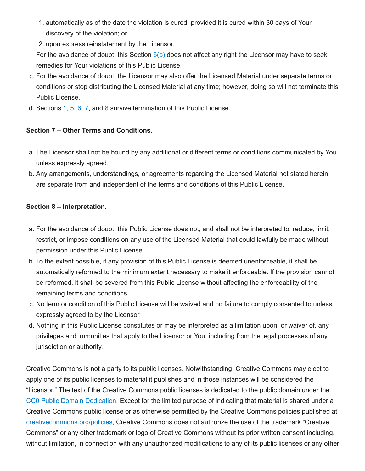- 1. automatically as of the date the violation is cured, provided it is cured within 30 days of Your discovery of the violation; or
- 2. upon express reinstatement by the Licensor.

For the avoidance of doubt, this Section  $6(b)$  does not affect any right the Licensor may have to seek remedies for Your violations of this Public License.

- c. For the avoidance of doubt, the Licensor may also offer the Licensed Material under separate terms or conditions or stop distributing the Licensed Material at any time; however, doing so will not terminate this Public License.
- d. Sections [1,](#page-1-0) [5](#page-4-2), [6](#page-4-3), [7](#page-5-0), and [8](#page-5-1) survive termination of this Public License.

# <span id="page-5-0"></span>**Section 7 – Other Terms and Conditions.**

- a. The Licensor shall not be bound by any additional or different terms or conditions communicated by You unless expressly agreed.
- b. Any arrangements, understandings, or agreements regarding the Licensed Material not stated herein are separate from and independent of the terms and conditions of this Public License.

# <span id="page-5-1"></span>**Section 8 – Interpretation.**

- a. For the avoidance of doubt, this Public License does not, and shall not be interpreted to, reduce, limit, restrict, or impose conditions on any use of the Licensed Material that could lawfully be made without permission under this Public License.
- b. To the extent possible, if any provision of this Public License is deemed unenforceable, it shall be automatically reformed to the minimum extent necessary to make it enforceable. If the provision cannot be reformed, it shall be severed from this Public License without affecting the enforceability of the remaining terms and conditions.
- c. No term or condition of this Public License will be waived and no failure to comply consented to unless expressly agreed to by the Licensor.
- d. Nothing in this Public License constitutes or may be interpreted as a limitation upon, or waiver of, any privileges and immunities that apply to the Licensor or You, including from the legal processes of any jurisdiction or authority.

Creative Commons is not a party to its public licenses. Notwithstanding, Creative Commons may elect to apply one of its public licenses to material it publishes and in those instances will be considered the "Licensor." The text of the Creative Commons public licenses is dedicated to the public domain under the CC0 Public Domain [Dedication.](https://creativecommons.org/publicdomain/zero/1.0/legalcode) Except for the limited purpose of indicating that material is shared under a Creative Commons public license or as otherwise permitted by the Creative Commons policies published at [creativecommons.org/policies,](https://creativecommons.org/policies) Creative Commons does not authorize the use of the trademark "Creative Commons" or any other trademark or logo of Creative Commons without its prior written consent including, without limitation, in connection with any unauthorized modifications to any of its public licenses or any other